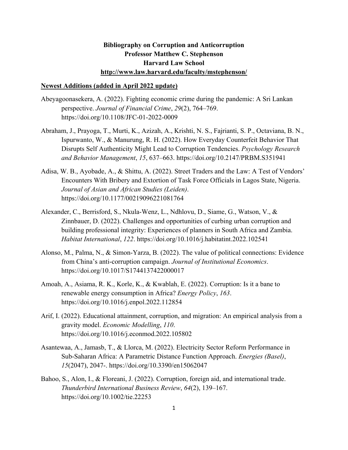## **Bibliography on Corruption and Anticorruption Professor Matthew C. Stephenson Harvard Law School http://www.law.harvard.edu/faculty/mstephenson/**

## **Newest Additions (added in April 2022 update)**

- Abeyagoonasekera, A. (2022). Fighting economic crime during the pandemic: A Sri Lankan perspective. *Journal of Financial Crime*, *29*(2), 764–769. https://doi.org/10.1108/JFC-01-2022-0009
- Abraham, J., Prayoga, T., Murti, K., Azizah, A., Krishti, N. S., Fajrianti, S. P., Octaviana, B. N., Ispurwanto, W., & Manurung, R. H. (2022). How Everyday Counterfeit Behavior That Disrupts Self Authenticity Might Lead to Corruption Tendencies. *Psychology Research and Behavior Management*, *15*, 637–663. https://doi.org/10.2147/PRBM.S351941
- Adisa, W. B., Ayobade, A., & Shittu, A. (2022). Street Traders and the Law: A Test of Vendors' Encounters With Bribery and Extortion of Task Force Officials in Lagos State, Nigeria. *Journal of Asian and African Studies (Leiden)*. https://doi.org/10.1177/00219096221081764
- Alexander, C., Berrisford, S., Nkula-Wenz, L., Ndhlovu, D., Siame, G., Watson, V., & Zinnbauer, D. (2022). Challenges and opportunities of curbing urban corruption and building professional integrity: Experiences of planners in South Africa and Zambia. *Habitat International*, *122*. https://doi.org/10.1016/j.habitatint.2022.102541
- Alonso, M., Palma, N., & Simon-Yarza, B. (2022). The value of political connections: Evidence from China's anti-corruption campaign. *Journal of Institutional Economics*. https://doi.org/10.1017/S1744137422000017
- Amoah, A., Asiama, R. K., Korle, K., & Kwablah, E. (2022). Corruption: Is it a bane to renewable energy consumption in Africa? *Energy Policy*, *163*. https://doi.org/10.1016/j.enpol.2022.112854
- Arif, I. (2022). Educational attainment, corruption, and migration: An empirical analysis from a gravity model. *Economic Modelling*, *110*. https://doi.org/10.1016/j.econmod.2022.105802
- Asantewaa, A., Jamasb, T., & Llorca, M. (2022). Electricity Sector Reform Performance in Sub-Saharan Africa: A Parametric Distance Function Approach. *Energies (Basel)*, *15*(2047), 2047-. https://doi.org/10.3390/en15062047
- Bahoo, S., Alon, I., & Floreani, J. (2022). Corruption, foreign aid, and international trade. *Thunderbird International Business Review*, *64*(2), 139–167. https://doi.org/10.1002/tie.22253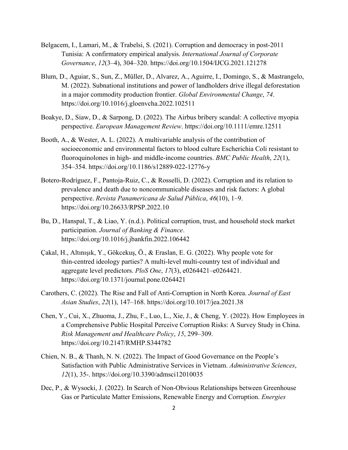- Belgacem, I., Lamari, M., & Trabelsi, S. (2021). Corruption and democracy in post-2011 Tunisia: A confirmatory empirical analysis. *International Journal of Corporate Governance*, *12*(3–4), 304–320. https://doi.org/10.1504/IJCG.2021.121278
- Blum, D., Aguiar, S., Sun, Z., Müller, D., Alvarez, A., Aguirre, I., Domingo, S., & Mastrangelo, M. (2022). Subnational institutions and power of landholders drive illegal deforestation in a major commodity production frontier. *Global Environmental Change*, *74*. https://doi.org/10.1016/j.gloenvcha.2022.102511
- Boakye, D., Siaw, D., & Sarpong, D. (2022). The Airbus bribery scandal: A collective myopia perspective. *European Management Review*. https://doi.org/10.1111/emre.12511
- Booth, A., & Wester, A. L. (2022). A multivariable analysis of the contribution of socioeconomic and environmental factors to blood culture Escherichia Coli resistant to fluoroquinolones in high- and middle-income countries. *BMC Public Health*, *22*(1), 354–354. https://doi.org/10.1186/s12889-022-12776-y
- Botero-Rodríguez, F., Pantoja-Ruiz, C., & Rosselli, D. (2022). Corruption and its relation to prevalence and death due to noncommunicable diseases and risk factors: A global perspective. *Revista Panamericana de Salud Pública*, *46*(10), 1–9. https://doi.org/10.26633/RPSP.2022.10
- Bu, D., Hanspal, T., & Liao, Y. (n.d.). Political corruption, trust, and household stock market participation. *Journal of Banking & Finance*. https://doi.org/10.1016/j.jbankfin.2022.106442
- Çakal, H., Altınışık, Y., Gökcekuş, Ö., & Eraslan, E. G. (2022). Why people vote for thin-centred ideology parties? A multi-level multi-country test of individual and aggregate level predictors. *PloS One*, *17*(3), e0264421–e0264421. https://doi.org/10.1371/journal.pone.0264421
- Carothers, C. (2022). The Rise and Fall of Anti-Corruption in North Korea. *Journal of East Asian Studies*, *22*(1), 147–168. https://doi.org/10.1017/jea.2021.38
- Chen, Y., Cui, X., Zhuoma, J., Zhu, F., Luo, L., Xie, J., & Cheng, Y. (2022). How Employees in a Comprehensive Public Hospital Perceive Corruption Risks: A Survey Study in China. *Risk Management and Healthcare Policy*, *15*, 299–309. https://doi.org/10.2147/RMHP.S344782
- Chien, N. B., & Thanh, N. N. (2022). The Impact of Good Governance on the People's Satisfaction with Public Administrative Services in Vietnam. *Administrative Sciences*, *12*(1), 35-. https://doi.org/10.3390/admsci12010035
- Dec, P., & Wysocki, J. (2022). In Search of Non-Obvious Relationships between Greenhouse Gas or Particulate Matter Emissions, Renewable Energy and Corruption. *Energies*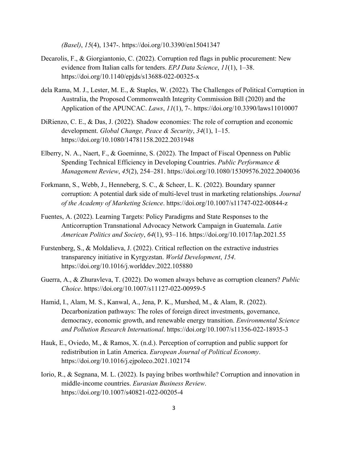*(Basel)*, *15*(4), 1347-. https://doi.org/10.3390/en15041347

- Decarolis, F., & Giorgiantonio, C. (2022). Corruption red flags in public procurement: New evidence from Italian calls for tenders. *EPJ Data Science*, *11*(1), 1–38. https://doi.org/10.1140/epjds/s13688-022-00325-x
- dela Rama, M. J., Lester, M. E., & Staples, W. (2022). The Challenges of Political Corruption in Australia, the Proposed Commonwealth Integrity Commission Bill (2020) and the Application of the APUNCAC. *Laws*, *11*(1), 7-. https://doi.org/10.3390/laws11010007
- DiRienzo, C. E., & Das, J. (2022). Shadow economies: The role of corruption and economic development. *Global Change, Peace & Security*, *34*(1), 1–15. https://doi.org/10.1080/14781158.2022.2031948
- Elberry, N. A., Naert, F., & Goeminne, S. (2022). The Impact of Fiscal Openness on Public Spending Technical Efficiency in Developing Countries. *Public Performance & Management Review*, *45*(2), 254–281. https://doi.org/10.1080/15309576.2022.2040036
- Forkmann, S., Webb, J., Henneberg, S. C., & Scheer, L. K. (2022). Boundary spanner corruption: A potential dark side of multi-level trust in marketing relationships. *Journal of the Academy of Marketing Science*. https://doi.org/10.1007/s11747-022-00844-z
- Fuentes, A. (2022). Learning Targets: Policy Paradigms and State Responses to the Anticorruption Transnational Advocacy Network Campaign in Guatemala. *Latin American Politics and Society*, *64*(1), 93–116. https://doi.org/10.1017/lap.2021.55
- Furstenberg, S., & Moldalieva, J. (2022). Critical reflection on the extractive industries transparency initiative in Kyrgyzstan. *World Development*, *154*. https://doi.org/10.1016/j.worlddev.2022.105880
- Guerra, A., & Zhuravleva, T. (2022). Do women always behave as corruption cleaners? *Public Choice*. https://doi.org/10.1007/s11127-022-00959-5
- Hamid, I., Alam, M. S., Kanwal, A., Jena, P. K., Murshed, M., & Alam, R. (2022). Decarbonization pathways: The roles of foreign direct investments, governance, democracy, economic growth, and renewable energy transition. *Environmental Science and Pollution Research International*. https://doi.org/10.1007/s11356-022-18935-3
- Hauk, E., Oviedo, M., & Ramos, X. (n.d.). Perception of corruption and public support for redistribution in Latin America. *European Journal of Political Economy*. https://doi.org/10.1016/j.ejpoleco.2021.102174
- Iorio, R., & Segnana, M. L. (2022). Is paying bribes worthwhile? Corruption and innovation in middle-income countries. *Eurasian Business Review*. https://doi.org/10.1007/s40821-022-00205-4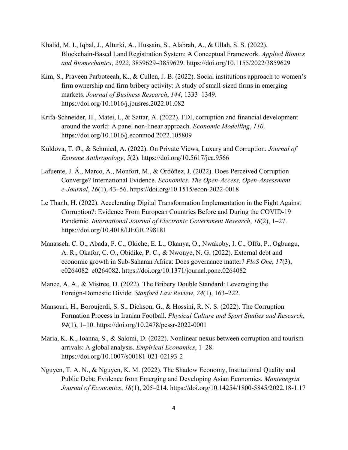- Khalid, M. I., Iqbal, J., Alturki, A., Hussain, S., Alabrah, A., & Ullah, S. S. (2022). Blockchain-Based Land Registration System: A Conceptual Framework. *Applied Bionics and Biomechanics*, *2022*, 3859629–3859629. https://doi.org/10.1155/2022/3859629
- Kim, S., Praveen Parboteeah, K., & Cullen, J. B. (2022). Social institutions approach to women's firm ownership and firm bribery activity: A study of small-sized firms in emerging markets. *Journal of Business Research*, *144*, 1333–1349. https://doi.org/10.1016/j.jbusres.2022.01.082
- Krifa-Schneider, H., Matei, I., & Sattar, A. (2022). FDI, corruption and financial development around the world: A panel non-linear approach. *Economic Modelling*, *110*. https://doi.org/10.1016/j.econmod.2022.105809
- Kuldova, T. Ø., & Schmied, A. (2022). On Private Views, Luxury and Corruption. *Journal of Extreme Anthropology*, *5*(2). https://doi.org/10.5617/jea.9566
- Lafuente, J. Á., Marco, A., Monfort, M., & Ordóñez, J. (2022). Does Perceived Corruption Converge? International Evidence. *Economics. The Open-Access, Open-Assessment e-Journal*, *16*(1), 43–56. https://doi.org/10.1515/econ-2022-0018
- Le Thanh, H. (2022). Accelerating Digital Transformation Implementation in the Fight Against Corruption?: Evidence From European Countries Before and During the COVID-19 Pandemic. *International Journal of Electronic Government Research*, *18*(2), 1–27. https://doi.org/10.4018/IJEGR.298181
- Manasseh, C. O., Abada, F. C., Okiche, E. L., Okanya, O., Nwakoby, I. C., Offu, P., Ogbuagu, A. R., Okafor, C. O., Obidike, P. C., & Nwonye, N. G. (2022). External debt and economic growth in Sub-Saharan Africa: Does governance matter? *PloS One*, *17*(3), e0264082–e0264082. https://doi.org/10.1371/journal.pone.0264082
- Mance, A. A., & Mistree, D. (2022). The Bribery Double Standard: Leveraging the Foreign-Domestic Divide. *Stanford Law Review*, *74*(1), 163–222.
- Mansouri, H., Boroujerdi, S. S., Dickson, G., & Hossini, R. N. S. (2022). The Corruption Formation Process in Iranian Football. *Physical Culture and Sport Studies and Research*, *94*(1), 1–10. https://doi.org/10.2478/pcssr-2022-0001
- Maria, K.-K., Ioanna, S., & Salomi, D. (2022). Nonlinear nexus between corruption and tourism arrivals: A global analysis. *Empirical Economics*, 1–28. https://doi.org/10.1007/s00181-021-02193-2
- Nguyen, T. A. N., & Nguyen, K. M. (2022). The Shadow Economy, Institutional Quality and Public Debt: Evidence from Emerging and Developing Asian Economies. *Montenegrin Journal of Economics*, *18*(1), 205–214. https://doi.org/10.14254/1800-5845/2022.18-1.17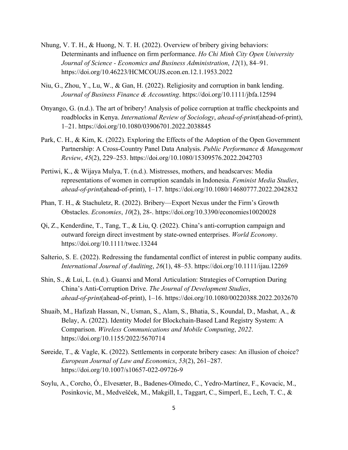- Nhung, V. T. H., & Huong, N. T. H. (2022). Overview of bribery giving behaviors: Determinants and influence on firm performance. *Ho Chi Minh City Open University Journal of Science - Economics and Business Administration*, *12*(1), 84–91. https://doi.org/10.46223/HCMCOUJS.econ.en.12.1.1953.2022
- Niu, G., Zhou, Y., Lu, W., & Gan, H. (2022). Religiosity and corruption in bank lending. *Journal of Business Finance & Accounting*. https://doi.org/10.1111/jbfa.12594
- Onyango, G. (n.d.). The art of bribery! Analysis of police corruption at traffic checkpoints and roadblocks in Kenya. *International Review of Sociology*, *ahead-of-print*(ahead-of-print), 1–21. https://doi.org/10.1080/03906701.2022.2038845
- Park, C. H., & Kim, K. (2022). Exploring the Effects of the Adoption of the Open Government Partnership: A Cross-Country Panel Data Analysis. *Public Performance & Management Review*, *45*(2), 229–253. https://doi.org/10.1080/15309576.2022.2042703
- Pertiwi, K., & Wijaya Mulya, T. (n.d.). Mistresses, mothers, and headscarves: Media representations of women in corruption scandals in Indonesia. *Feminist Media Studies*, *ahead-of-print*(ahead-of-print), 1–17. https://doi.org/10.1080/14680777.2022.2042832
- Phan, T. H., & Stachuletz, R. (2022). Bribery—Export Nexus under the Firm's Growth Obstacles. *Economies*, *10*(2), 28-. https://doi.org/10.3390/economies10020028
- Qi, Z., Kenderdine, T., Tang, T., & Liu, Q. (2022). China's anti-corruption campaign and outward foreign direct investment by state-owned enterprises. *World Economy*. https://doi.org/10.1111/twec.13244
- Salterio, S. E. (2022). Redressing the fundamental conflict of interest in public company audits. *International Journal of Auditing*, *26*(1), 48–53. https://doi.org/10.1111/ijau.12269
- Shin, S., & Lui, L. (n.d.). Guanxi and Moral Articulation: Strategies of Corruption During China's Anti-Corruption Drive. *The Journal of Development Studies*, *ahead-of-print*(ahead-of-print), 1–16. https://doi.org/10.1080/00220388.2022.2032670
- Shuaib, M., Hafizah Hassan, N., Usman, S., Alam, S., Bhatia, S., Koundal, D., Mashat, A., & Belay, A. (2022). Identity Model for Blockchain-Based Land Registry System: A Comparison. *Wireless Communications and Mobile Computing*, *2022*. https://doi.org/10.1155/2022/5670714
- Søreide, T., & Vagle, K. (2022). Settlements in corporate bribery cases: An illusion of choice? *European Journal of Law and Economics*, *53*(2), 261–287. https://doi.org/10.1007/s10657-022-09726-9
- Soylu, A., Corcho, Ó., Elvesæter, B., Badenes-Olmedo, C., Yedro-Martínez, F., Kovacic, M., Posinkovic, M., Medvešček, M., Makgill, I., Taggart, C., Simperl, E., Lech, T. C., &